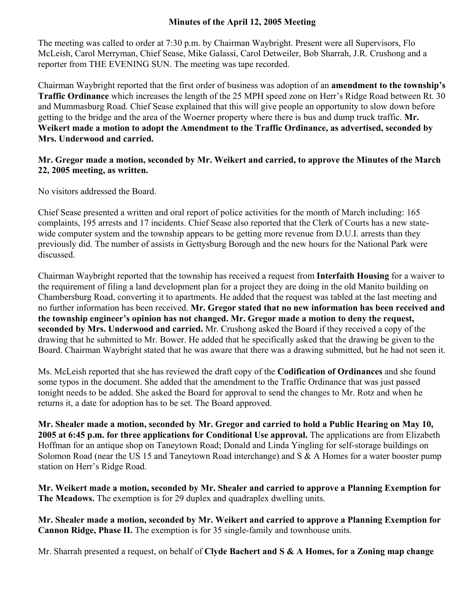## **Minutes of the April 12, 2005 Meeting**

The meeting was called to order at 7:30 p.m. by Chairman Waybright. Present were all Supervisors, Flo McLeish, Carol Merryman, Chief Sease, Mike Galassi, Carol Detweiler, Bob Sharrah, J.R. Crushong and a reporter from THE EVENING SUN. The meeting was tape recorded.

Chairman Waybright reported that the first order of business was adoption of an **amendment to the township's Traffic Ordinance** which increases the length of the 25 MPH speed zone on Herr's Ridge Road between Rt. 30 and Mummasburg Road. Chief Sease explained that this will give people an opportunity to slow down before getting to the bridge and the area of the Woerner property where there is bus and dump truck traffic. **Mr. Weikert made a motion to adopt the Amendment to the Traffic Ordinance, as advertised, seconded by Mrs. Underwood and carried.** 

## **Mr. Gregor made a motion, seconded by Mr. Weikert and carried, to approve the Minutes of the March 22, 2005 meeting, as written.**

No visitors addressed the Board.

Chief Sease presented a written and oral report of police activities for the month of March including: 165 complaints, 195 arrests and 17 incidents. Chief Sease also reported that the Clerk of Courts has a new statewide computer system and the township appears to be getting more revenue from D.U.I. arrests than they previously did. The number of assists in Gettysburg Borough and the new hours for the National Park were discussed.

Chairman Waybright reported that the township has received a request from **Interfaith Housing** for a waiver to the requirement of filing a land development plan for a project they are doing in the old Manito building on Chambersburg Road, converting it to apartments. He added that the request was tabled at the last meeting and no further information has been received. **Mr. Gregor stated that no new information has been received and the township engineer's opinion has not changed. Mr. Gregor made a motion to deny the request, seconded by Mrs. Underwood and carried.** Mr. Crushong asked the Board if they received a copy of the drawing that he submitted to Mr. Bower. He added that he specifically asked that the drawing be given to the Board. Chairman Waybright stated that he was aware that there was a drawing submitted, but he had not seen it.

Ms. McLeish reported that she has reviewed the draft copy of the **Codification of Ordinances** and she found some typos in the document. She added that the amendment to the Traffic Ordinance that was just passed tonight needs to be added. She asked the Board for approval to send the changes to Mr. Rotz and when he returns it, a date for adoption has to be set. The Board approved.

**Mr. Shealer made a motion, seconded by Mr. Gregor and carried to hold a Public Hearing on May 10, 2005 at 6:45 p.m. for three applications for Conditional Use approval.** The applications are from Elizabeth Hoffman for an antique shop on Taneytown Road; Donald and Linda Yingling for self-storage buildings on Solomon Road (near the US 15 and Taneytown Road interchange) and S & A Homes for a water booster pump station on Herr's Ridge Road.

**Mr. Weikert made a motion, seconded by Mr. Shealer and carried to approve a Planning Exemption for The Meadows.** The exemption is for 29 duplex and quadraplex dwelling units.

**Mr. Shealer made a motion, seconded by Mr. Weikert and carried to approve a Planning Exemption for Cannon Ridge, Phase II.** The exemption is for 35 single-family and townhouse units.

Mr. Sharrah presented a request, on behalf of **Clyde Bachert and S & A Homes, for a Zoning map change**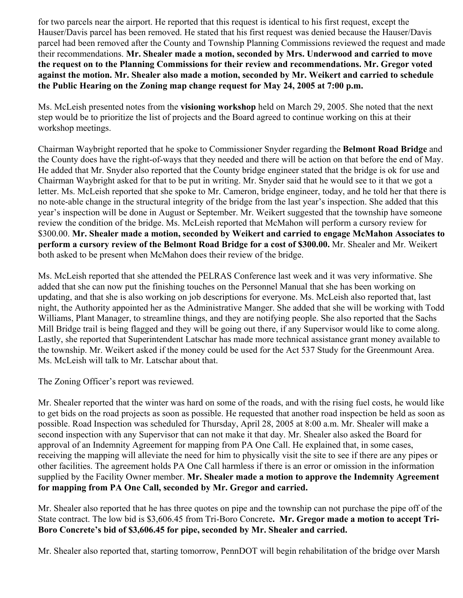for two parcels near the airport. He reported that this request is identical to his first request, except the Hauser/Davis parcel has been removed. He stated that his first request was denied because the Hauser/Davis parcel had been removed after the County and Township Planning Commissions reviewed the request and made their recommendations. **Mr. Shealer made a motion, seconded by Mrs. Underwood and carried to move the request on to the Planning Commissions for their review and recommendations. Mr. Gregor voted against the motion. Mr. Shealer also made a motion, seconded by Mr. Weikert and carried to schedule the Public Hearing on the Zoning map change request for May 24, 2005 at 7:00 p.m.** 

Ms. McLeish presented notes from the **visioning workshop** held on March 29, 2005. She noted that the next step would be to prioritize the list of projects and the Board agreed to continue working on this at their workshop meetings.

Chairman Waybright reported that he spoke to Commissioner Snyder regarding the **Belmont Road Bridge** and the County does have the right-of-ways that they needed and there will be action on that before the end of May. He added that Mr. Snyder also reported that the County bridge engineer stated that the bridge is ok for use and Chairman Waybright asked for that to be put in writing. Mr. Snyder said that he would see to it that we got a letter. Ms. McLeish reported that she spoke to Mr. Cameron, bridge engineer, today, and he told her that there is no note-able change in the structural integrity of the bridge from the last year's inspection. She added that this year's inspection will be done in August or September. Mr. Weikert suggested that the township have someone review the condition of the bridge. Ms. McLeish reported that McMahon will perform a cursory review for \$300.00. **Mr. Shealer made a motion, seconded by Weikert and carried to engage McMahon Associates to perform a cursory review of the Belmont Road Bridge for a cost of \$300.00.** Mr. Shealer and Mr. Weikert both asked to be present when McMahon does their review of the bridge.

Ms. McLeish reported that she attended the PELRAS Conference last week and it was very informative. She added that she can now put the finishing touches on the Personnel Manual that she has been working on updating, and that she is also working on job descriptions for everyone. Ms. McLeish also reported that, last night, the Authority appointed her as the Administrative Manger. She added that she will be working with Todd Williams, Plant Manager, to streamline things, and they are notifying people. She also reported that the Sachs Mill Bridge trail is being flagged and they will be going out there, if any Supervisor would like to come along. Lastly, she reported that Superintendent Latschar has made more technical assistance grant money available to the township. Mr. Weikert asked if the money could be used for the Act 537 Study for the Greenmount Area. Ms. McLeish will talk to Mr. Latschar about that.

The Zoning Officer's report was reviewed.

Mr. Shealer reported that the winter was hard on some of the roads, and with the rising fuel costs, he would like to get bids on the road projects as soon as possible. He requested that another road inspection be held as soon as possible. Road Inspection was scheduled for Thursday, April 28, 2005 at 8:00 a.m. Mr. Shealer will make a second inspection with any Supervisor that can not make it that day. Mr. Shealer also asked the Board for approval of an Indemnity Agreement for mapping from PA One Call. He explained that, in some cases, receiving the mapping will alleviate the need for him to physically visit the site to see if there are any pipes or other facilities. The agreement holds PA One Call harmless if there is an error or omission in the information supplied by the Facility Owner member. **Mr. Shealer made a motion to approve the Indemnity Agreement for mapping from PA One Call, seconded by Mr. Gregor and carried.** 

Mr. Shealer also reported that he has three quotes on pipe and the township can not purchase the pipe off of the State contract. The low bid is \$3,606.45 from Tri-Boro Concrete**. Mr. Gregor made a motion to accept Tri-Boro Concrete's bid of \$3,606.45 for pipe, seconded by Mr. Shealer and carried.** 

Mr. Shealer also reported that, starting tomorrow, PennDOT will begin rehabilitation of the bridge over Marsh